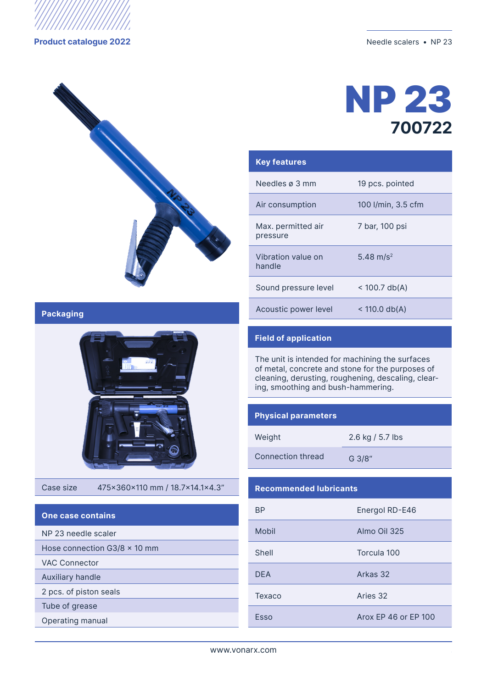

**Product catalogue 2022** Needle scalers • NP 23





| <b>Key features</b>            |                       |
|--------------------------------|-----------------------|
| Needles ø 3 mm                 | 19 pcs. pointed       |
| Air consumption                | 100 I/min, 3.5 cfm    |
| Max. permitted air<br>pressure | 7 bar, 100 psi        |
| Vibration value on<br>handle   | 5.48 m/s <sup>2</sup> |
| Sound pressure level           | $<$ 100.7 db(A)       |
| Acoustic power level           | $<$ 110.0 db(A)       |

### **Packaging**



Case size 475x360x110 mm / 18.7x14.1x4.3"

## **One case contains**

|  | NP 23 needle scaler |  |
|--|---------------------|--|
|  |                     |  |

Hose connection G3/8 × 10 mm

VAC Connector

Auxiliary handle

2 pcs. of piston seals

Тube of grease

Operating manual

### **Field of application**

The unit is intended for machining the surfaces of metal, concrete and stone for the purposes of cleaning, derusting, roughening, descaling, clearing, smoothing and bush-hammering.

### **Physical parameters**

| Weight            | 2.6 kg / 5.7 lbs |
|-------------------|------------------|
| Connection thread | G 3/8"           |

### **Recommended lubricants**

| ВP         | Energol RD-E46       |
|------------|----------------------|
| Mobil      | Almo Oil 325         |
| Shell      | Torcula 100          |
| <b>DFA</b> | Arkas 32             |
| Texaco     | Aries 32             |
| Esso       | Arox EP 46 or EP 100 |